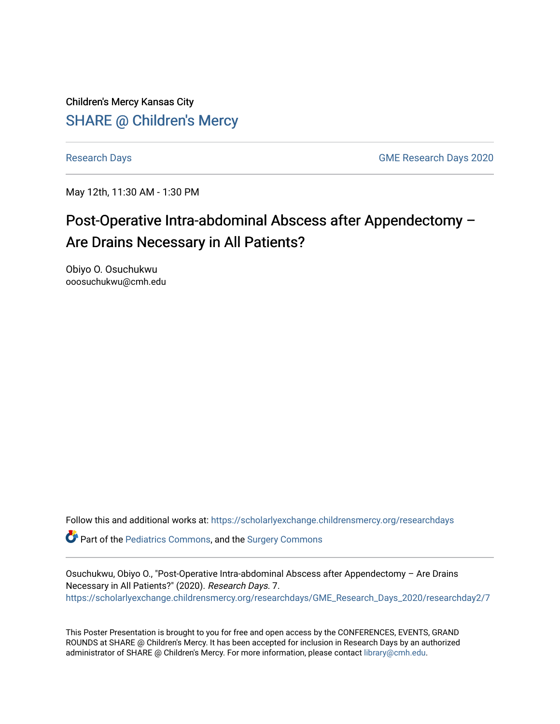Children's Mercy Kansas City **SHARE @ Children's Mercy** 

[Research Days](https://scholarlyexchange.childrensmercy.org/researchdays) [GME Research Days 2020](https://scholarlyexchange.childrensmercy.org/researchdays/GME_Research_Days_2020) 

May 12th, 11:30 AM - 1:30 PM

## Post-Operative Intra-abdominal Abscess after Appendectomy – Are Drains Necessary in All Patients?

Obiyo O. Osuchukwu ooosuchukwu@cmh.edu

Follow this and additional works at: [https://scholarlyexchange.childrensmercy.org/researchdays](https://scholarlyexchange.childrensmercy.org/researchdays?utm_source=scholarlyexchange.childrensmercy.org%2Fresearchdays%2FGME_Research_Days_2020%2Fresearchday2%2F7&utm_medium=PDF&utm_campaign=PDFCoverPages) 

Part of the [Pediatrics Commons](http://network.bepress.com/hgg/discipline/700?utm_source=scholarlyexchange.childrensmercy.org%2Fresearchdays%2FGME_Research_Days_2020%2Fresearchday2%2F7&utm_medium=PDF&utm_campaign=PDFCoverPages), and the [Surgery Commons](http://network.bepress.com/hgg/discipline/706?utm_source=scholarlyexchange.childrensmercy.org%2Fresearchdays%2FGME_Research_Days_2020%2Fresearchday2%2F7&utm_medium=PDF&utm_campaign=PDFCoverPages) 

Osuchukwu, Obiyo O., "Post-Operative Intra-abdominal Abscess after Appendectomy – Are Drains Necessary in All Patients?" (2020). Research Days. 7. [https://scholarlyexchange.childrensmercy.org/researchdays/GME\\_Research\\_Days\\_2020/researchday2/7](https://scholarlyexchange.childrensmercy.org/researchdays/GME_Research_Days_2020/researchday2/7?utm_source=scholarlyexchange.childrensmercy.org%2Fresearchdays%2FGME_Research_Days_2020%2Fresearchday2%2F7&utm_medium=PDF&utm_campaign=PDFCoverPages)

This Poster Presentation is brought to you for free and open access by the CONFERENCES, EVENTS, GRAND ROUNDS at SHARE @ Children's Mercy. It has been accepted for inclusion in Research Days by an authorized administrator of SHARE @ Children's Mercy. For more information, please contact [library@cmh.edu.](mailto:library@cmh.edu)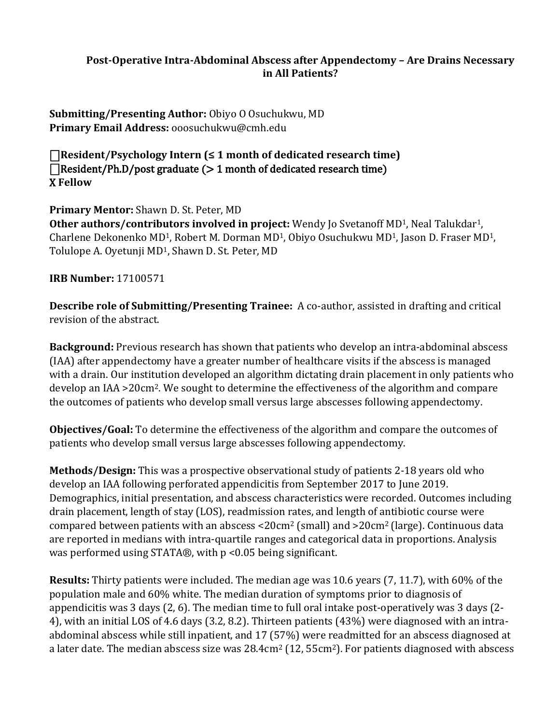## **Post-Operative Intra-Abdominal Abscess after Appendectomy – Are Drains Necessary in All Patients?**

**Submitting/Presenting Author:** Obiyo O Osuchukwu, MD **Primary Email Address:** ooosuchukwu@cmh.edu

⎕**Resident/Psychology Intern (≤ 1 month of dedicated research time)**   $\Box$ Resident/Ph.D/post graduate ( $> 1$  month of dedicated research time) X **Fellow** 

**Primary Mentor:** Shawn D. St. Peter, MD **Other authors/contributors involved in project:** Wendy Jo Svetanoff MD<sup>1</sup>, Neal Talukdar<sup>1</sup>, Charlene Dekonenko MD1, Robert M. Dorman MD1, Obiyo Osuchukwu MD1, Jason D. Fraser MD1, Tolulope A. Oyetunji MD1, Shawn D. St. Peter, MD

**IRB Number:** 17100571

**Describe role of Submitting/Presenting Trainee:** A co-author, assisted in drafting and critical revision of the abstract.

**Background:** Previous research has shown that patients who develop an intra-abdominal abscess (IAA) after appendectomy have a greater number of healthcare visits if the abscess is managed with a drain. Our institution developed an algorithm dictating drain placement in only patients who develop an IAA >20cm2. We sought to determine the effectiveness of the algorithm and compare the outcomes of patients who develop small versus large abscesses following appendectomy.

**Objectives/Goal:** To determine the effectiveness of the algorithm and compare the outcomes of patients who develop small versus large abscesses following appendectomy.

**Methods/Design:** This was a prospective observational study of patients 2-18 years old who develop an IAA following perforated appendicitis from September 2017 to June 2019. Demographics, initial presentation, and abscess characteristics were recorded. Outcomes including drain placement, length of stay (LOS), readmission rates, and length of antibiotic course were compared between patients with an abscess <20 $cm<sup>2</sup>$  (small) and >20 $cm<sup>2</sup>$  (large). Continuous data are reported in medians with intra-quartile ranges and categorical data in proportions. Analysis was performed using STATA®, with p <0.05 being significant.

**Results:** Thirty patients were included. The median age was 10.6 years (7, 11.7), with 60% of the population male and 60% white. The median duration of symptoms prior to diagnosis of appendicitis was 3 days (2, 6). The median time to full oral intake post-operatively was 3 days (2- 4), with an initial LOS of 4.6 days (3.2, 8.2). Thirteen patients (43%) were diagnosed with an intraabdominal abscess while still inpatient, and 17 (57%) were readmitted for an abscess diagnosed at a later date. The median abscess size was 28.4cm<sup>2</sup> (12, 55cm<sup>2</sup>). For patients diagnosed with abscess